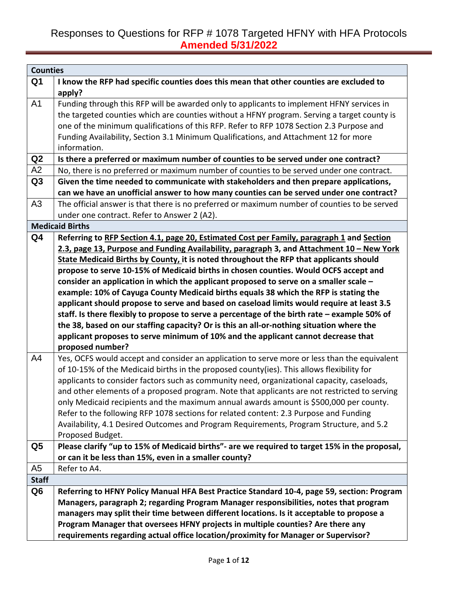| <b>Counties</b> |                                                                                                       |
|-----------------|-------------------------------------------------------------------------------------------------------|
| Q <sub>1</sub>  | I know the RFP had specific counties does this mean that other counties are excluded to               |
|                 | apply?                                                                                                |
| A <sub>1</sub>  | Funding through this RFP will be awarded only to applicants to implement HFNY services in             |
|                 | the targeted counties which are counties without a HFNY program. Serving a target county is           |
|                 | one of the minimum qualifications of this RFP. Refer to RFP 1078 Section 2.3 Purpose and              |
|                 | Funding Availability, Section 3.1 Minimum Qualifications, and Attachment 12 for more                  |
|                 | information.                                                                                          |
| Q2              | Is there a preferred or maximum number of counties to be served under one contract?                   |
| A2              | No, there is no preferred or maximum number of counties to be served under one contract.              |
| Q <sub>3</sub>  | Given the time needed to communicate with stakeholders and then prepare applications,                 |
|                 | can we have an unofficial answer to how many counties can be served under one contract?               |
| A <sub>3</sub>  | The official answer is that there is no preferred or maximum number of counties to be served          |
|                 | under one contract. Refer to Answer 2 (A2).                                                           |
|                 | <b>Medicaid Births</b>                                                                                |
| Q <sub>4</sub>  | Referring to RFP Section 4.1, page 20, Estimated Cost per Family, paragraph 1 and Section             |
|                 | 2.3, page 13, Purpose and Funding Availability, paragraph 3, and Attachment 10 - New York             |
|                 | State Medicaid Births by County, it is noted throughout the RFP that applicants should                |
|                 | propose to serve 10-15% of Medicaid births in chosen counties. Would OCFS accept and                  |
|                 | consider an application in which the applicant proposed to serve on a smaller scale -                 |
|                 | example: 10% of Cayuga County Medicaid births equals 38 which the RFP is stating the                  |
|                 | applicant should propose to serve and based on caseload limits would require at least 3.5             |
|                 | staff. Is there flexibly to propose to serve a percentage of the birth rate - example 50% of          |
|                 | the 38, based on our staffing capacity? Or is this an all-or-nothing situation where the              |
|                 | applicant proposes to serve minimum of 10% and the applicant cannot decrease that<br>proposed number? |
| A4              | Yes, OCFS would accept and consider an application to serve more or less than the equivalent          |
|                 | of 10-15% of the Medicaid births in the proposed county(ies). This allows flexibility for             |
|                 | applicants to consider factors such as community need, organizational capacity, caseloads,            |
|                 | and other elements of a proposed program. Note that applicants are not restricted to serving          |
|                 | only Medicaid recipients and the maximum annual awards amount is \$500,000 per county.                |
|                 | Refer to the following RFP 1078 sections for related content: 2.3 Purpose and Funding                 |
|                 | Availability, 4.1 Desired Outcomes and Program Requirements, Program Structure, and 5.2               |
|                 | Proposed Budget.                                                                                      |
| Q5              | Please clarify "up to 15% of Medicaid births"- are we required to target 15% in the proposal,         |
|                 | or can it be less than 15%, even in a smaller county?                                                 |
| A <sub>5</sub>  | Refer to A4.                                                                                          |
| <b>Staff</b>    |                                                                                                       |
| Q <sub>6</sub>  | Referring to HFNY Policy Manual HFA Best Practice Standard 10-4, page 59, section: Program            |
|                 | Managers, paragraph 2; regarding Program Manager responsibilities, notes that program                 |
|                 | managers may split their time between different locations. Is it acceptable to propose a              |
|                 | Program Manager that oversees HFNY projects in multiple counties? Are there any                       |
|                 | requirements regarding actual office location/proximity for Manager or Supervisor?                    |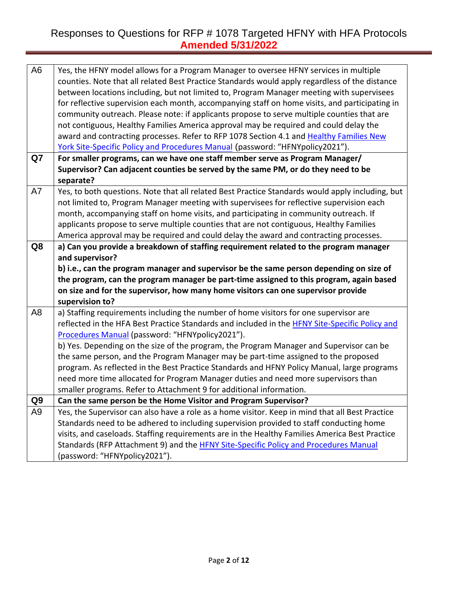| A <sub>6</sub> | Yes, the HFNY model allows for a Program Manager to oversee HFNY services in multiple<br>counties. Note that all related Best Practice Standards would apply regardless of the distance<br>between locations including, but not limited to, Program Manager meeting with supervisees<br>for reflective supervision each month, accompanying staff on home visits, and participating in<br>community outreach. Please note: if applicants propose to serve multiple counties that are<br>not contiguous, Healthy Families America approval may be required and could delay the<br>award and contracting processes. Refer to RFP 1078 Section 4.1 and Healthy Families New<br>York Site-Specific Policy and Procedures Manual (password: "HFNYpolicy2021"). |
|----------------|-----------------------------------------------------------------------------------------------------------------------------------------------------------------------------------------------------------------------------------------------------------------------------------------------------------------------------------------------------------------------------------------------------------------------------------------------------------------------------------------------------------------------------------------------------------------------------------------------------------------------------------------------------------------------------------------------------------------------------------------------------------|
| Q7             | For smaller programs, can we have one staff member serve as Program Manager/                                                                                                                                                                                                                                                                                                                                                                                                                                                                                                                                                                                                                                                                              |
|                | Supervisor? Can adjacent counties be served by the same PM, or do they need to be                                                                                                                                                                                                                                                                                                                                                                                                                                                                                                                                                                                                                                                                         |
|                | separate?                                                                                                                                                                                                                                                                                                                                                                                                                                                                                                                                                                                                                                                                                                                                                 |
| A7             | Yes, to both questions. Note that all related Best Practice Standards would apply including, but                                                                                                                                                                                                                                                                                                                                                                                                                                                                                                                                                                                                                                                          |
|                | not limited to, Program Manager meeting with supervisees for reflective supervision each                                                                                                                                                                                                                                                                                                                                                                                                                                                                                                                                                                                                                                                                  |
|                | month, accompanying staff on home visits, and participating in community outreach. If                                                                                                                                                                                                                                                                                                                                                                                                                                                                                                                                                                                                                                                                     |
|                | applicants propose to serve multiple counties that are not contiguous, Healthy Families                                                                                                                                                                                                                                                                                                                                                                                                                                                                                                                                                                                                                                                                   |
|                | America approval may be required and could delay the award and contracting processes.                                                                                                                                                                                                                                                                                                                                                                                                                                                                                                                                                                                                                                                                     |
| Q8             | a) Can you provide a breakdown of staffing requirement related to the program manager                                                                                                                                                                                                                                                                                                                                                                                                                                                                                                                                                                                                                                                                     |
|                | and supervisor?                                                                                                                                                                                                                                                                                                                                                                                                                                                                                                                                                                                                                                                                                                                                           |
|                | b) i.e., can the program manager and supervisor be the same person depending on size of                                                                                                                                                                                                                                                                                                                                                                                                                                                                                                                                                                                                                                                                   |
|                | the program, can the program manager be part-time assigned to this program, again based                                                                                                                                                                                                                                                                                                                                                                                                                                                                                                                                                                                                                                                                   |
|                | on size and for the supervisor, how many home visitors can one supervisor provide                                                                                                                                                                                                                                                                                                                                                                                                                                                                                                                                                                                                                                                                         |
|                | supervision to?                                                                                                                                                                                                                                                                                                                                                                                                                                                                                                                                                                                                                                                                                                                                           |
| A <sub>8</sub> | a) Staffing requirements including the number of home visitors for one supervisor are                                                                                                                                                                                                                                                                                                                                                                                                                                                                                                                                                                                                                                                                     |
|                | reflected in the HFA Best Practice Standards and included in the HFNY Site-Specific Policy and                                                                                                                                                                                                                                                                                                                                                                                                                                                                                                                                                                                                                                                            |
|                | Procedures Manual (password: "HFNYpolicy2021").                                                                                                                                                                                                                                                                                                                                                                                                                                                                                                                                                                                                                                                                                                           |
|                | b) Yes. Depending on the size of the program, the Program Manager and Supervisor can be                                                                                                                                                                                                                                                                                                                                                                                                                                                                                                                                                                                                                                                                   |
|                | the same person, and the Program Manager may be part-time assigned to the proposed                                                                                                                                                                                                                                                                                                                                                                                                                                                                                                                                                                                                                                                                        |
|                | program. As reflected in the Best Practice Standards and HFNY Policy Manual, large programs                                                                                                                                                                                                                                                                                                                                                                                                                                                                                                                                                                                                                                                               |
|                | need more time allocated for Program Manager duties and need more supervisors than                                                                                                                                                                                                                                                                                                                                                                                                                                                                                                                                                                                                                                                                        |
|                | smaller programs. Refer to Attachment 9 for additional information.                                                                                                                                                                                                                                                                                                                                                                                                                                                                                                                                                                                                                                                                                       |
| Q <sub>9</sub> | Can the same person be the Home Visitor and Program Supervisor?                                                                                                                                                                                                                                                                                                                                                                                                                                                                                                                                                                                                                                                                                           |
| A <sub>9</sub> | Yes, the Supervisor can also have a role as a home visitor. Keep in mind that all Best Practice                                                                                                                                                                                                                                                                                                                                                                                                                                                                                                                                                                                                                                                           |
|                | Standards need to be adhered to including supervision provided to staff conducting home                                                                                                                                                                                                                                                                                                                                                                                                                                                                                                                                                                                                                                                                   |
|                | visits, and caseloads. Staffing requirements are in the Healthy Families America Best Practice                                                                                                                                                                                                                                                                                                                                                                                                                                                                                                                                                                                                                                                            |
|                | Standards (RFP Attachment 9) and the HFNY Site-Specific Policy and Procedures Manual                                                                                                                                                                                                                                                                                                                                                                                                                                                                                                                                                                                                                                                                      |
|                | (password: "HFNYpolicy2021").                                                                                                                                                                                                                                                                                                                                                                                                                                                                                                                                                                                                                                                                                                                             |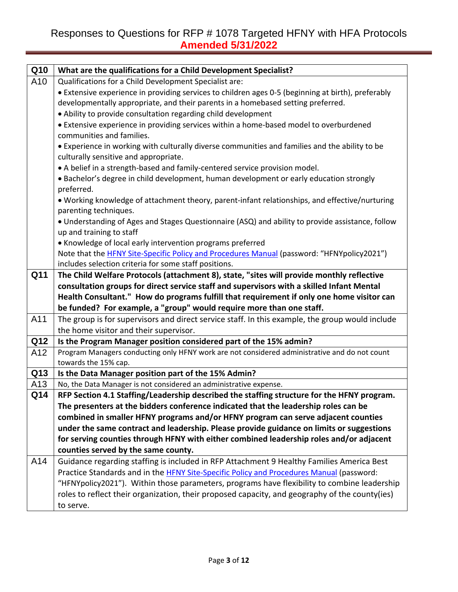| Q10 | What are the qualifications for a Child Development Specialist?                                       |
|-----|-------------------------------------------------------------------------------------------------------|
| A10 | Qualifications for a Child Development Specialist are:                                                |
|     | • Extensive experience in providing services to children ages 0-5 (beginning at birth), preferably    |
|     | developmentally appropriate, and their parents in a homebased setting preferred.                      |
|     | • Ability to provide consultation regarding child development                                         |
|     | • Extensive experience in providing services within a home-based model to overburdened                |
|     | communities and families.                                                                             |
|     | • Experience in working with culturally diverse communities and families and the ability to be        |
|     | culturally sensitive and appropriate.                                                                 |
|     | • A belief in a strength-based and family-centered service provision model.                           |
|     | • Bachelor's degree in child development, human development or early education strongly<br>preferred. |
|     | . Working knowledge of attachment theory, parent-infant relationships, and effective/nurturing        |
|     | parenting techniques.                                                                                 |
|     | • Understanding of Ages and Stages Questionnaire (ASQ) and ability to provide assistance, follow      |
|     | up and training to staff                                                                              |
|     | • Knowledge of local early intervention programs preferred                                            |
|     | Note that the <b>HFNY Site-Specific Policy and Procedures Manual</b> (password: "HFNYpolicy2021")     |
|     | includes selection criteria for some staff positions.                                                 |
| Q11 | The Child Welfare Protocols (attachment 8), state, "sites will provide monthly reflective             |
|     | consultation groups for direct service staff and supervisors with a skilled Infant Mental             |
|     | Health Consultant." How do programs fulfill that requirement if only one home visitor can             |
|     | be funded? For example, a "group" would require more than one staff.                                  |
| A11 | The group is for supervisors and direct service staff. In this example, the group would include       |
|     | the home visitor and their supervisor.                                                                |
| Q12 | Is the Program Manager position considered part of the 15% admin?                                     |
| A12 | Program Managers conducting only HFNY work are not considered administrative and do not count         |
|     |                                                                                                       |
|     | towards the 15% cap.                                                                                  |
| Q13 | Is the Data Manager position part of the 15% Admin?                                                   |
| A13 | No, the Data Manager is not considered an administrative expense.                                     |
| Q14 | RFP Section 4.1 Staffing/Leadership described the staffing structure for the HFNY program.            |
|     | The presenters at the bidders conference indicated that the leadership roles can be                   |
|     | combined in smaller HFNY programs and/or HFNY program can serve adjacent counties                     |
|     | under the same contract and leadership. Please provide guidance on limits or suggestions              |
|     | for serving counties through HFNY with either combined leadership roles and/or adjacent               |
|     | counties served by the same county.                                                                   |
| A14 | Guidance regarding staffing is included in RFP Attachment 9 Healthy Families America Best             |
|     | Practice Standards and in the HFNY Site-Specific Policy and Procedures Manual (password:              |
|     | "HFNYpolicy2021"). Within those parameters, programs have flexibility to combine leadership           |
|     | roles to reflect their organization, their proposed capacity, and geography of the county(ies)        |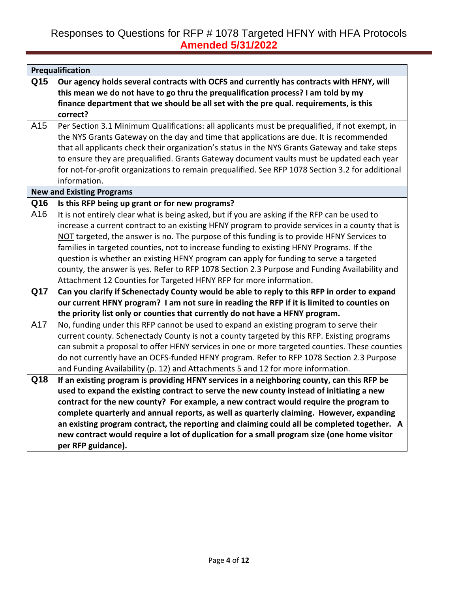|     | Prequalification                                                                                 |
|-----|--------------------------------------------------------------------------------------------------|
| Q15 | Our agency holds several contracts with OCFS and currently has contracts with HFNY, will         |
|     | this mean we do not have to go thru the prequalification process? I am told by my                |
|     | finance department that we should be all set with the pre qual. requirements, is this            |
|     | correct?                                                                                         |
| A15 | Per Section 3.1 Minimum Qualifications: all applicants must be prequalified, if not exempt, in   |
|     | the NYS Grants Gateway on the day and time that applications are due. It is recommended          |
|     | that all applicants check their organization's status in the NYS Grants Gateway and take steps   |
|     | to ensure they are prequalified. Grants Gateway document vaults must be updated each year        |
|     | for not-for-profit organizations to remain prequalified. See RFP 1078 Section 3.2 for additional |
|     | information.                                                                                     |
|     | <b>New and Existing Programs</b>                                                                 |
| Q16 | Is this RFP being up grant or for new programs?                                                  |
| A16 | It is not entirely clear what is being asked, but if you are asking if the RFP can be used to    |
|     | increase a current contract to an existing HFNY program to provide services in a county that is  |
|     | NOT targeted, the answer is no. The purpose of this funding is to provide HFNY Services to       |
|     | families in targeted counties, not to increase funding to existing HFNY Programs. If the         |
|     | question is whether an existing HFNY program can apply for funding to serve a targeted           |
|     | county, the answer is yes. Refer to RFP 1078 Section 2.3 Purpose and Funding Availability and    |
|     | Attachment 12 Counties for Targeted HFNY RFP for more information.                               |
| Q17 | Can you clarify if Schenectady County would be able to reply to this RFP in order to expand      |
|     | our current HFNY program? I am not sure in reading the RFP if it is limited to counties on       |
|     | the priority list only or counties that currently do not have a HFNY program.                    |
| A17 | No, funding under this RFP cannot be used to expand an existing program to serve their           |
|     | current county. Schenectady County is not a county targeted by this RFP. Existing programs       |
|     | can submit a proposal to offer HFNY services in one or more targeted counties. These counties    |
|     | do not currently have an OCFS-funded HFNY program. Refer to RFP 1078 Section 2.3 Purpose         |
|     | and Funding Availability (p. 12) and Attachments 5 and 12 for more information.                  |
| Q18 | If an existing program is providing HFNY services in a neighboring county, can this RFP be       |
|     | used to expand the existing contract to serve the new county instead of initiating a new         |
|     | contract for the new county? For example, a new contract would require the program to            |
|     | complete quarterly and annual reports, as well as quarterly claiming. However, expanding         |
|     | an existing program contract, the reporting and claiming could all be completed together. A      |
|     | new contract would require a lot of duplication for a small program size (one home visitor       |
|     | per RFP guidance).                                                                               |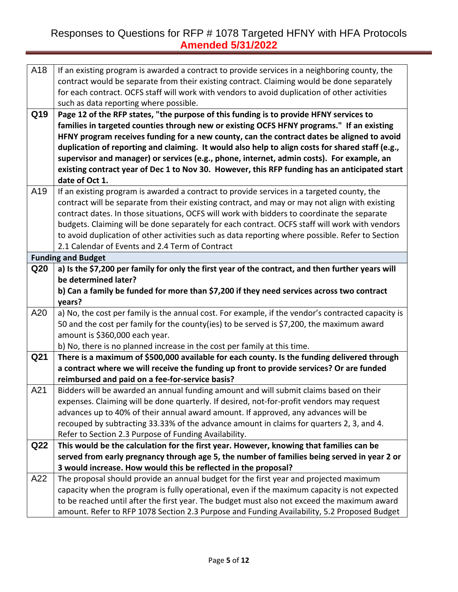| A18             | If an existing program is awarded a contract to provide services in a neighboring county, the<br>contract would be separate from their existing contract. Claiming would be done separately<br>for each contract. OCFS staff will work with vendors to avoid duplication of other activities<br>such as data reporting where possible. |
|-----------------|----------------------------------------------------------------------------------------------------------------------------------------------------------------------------------------------------------------------------------------------------------------------------------------------------------------------------------------|
| Q19             | Page 12 of the RFP states, "the purpose of this funding is to provide HFNY services to                                                                                                                                                                                                                                                 |
|                 | families in targeted counties through new or existing OCFS HFNY programs." If an existing                                                                                                                                                                                                                                              |
|                 | HFNY program receives funding for a new county, can the contract dates be aligned to avoid                                                                                                                                                                                                                                             |
|                 | duplication of reporting and claiming. It would also help to align costs for shared staff (e.g.,                                                                                                                                                                                                                                       |
|                 | supervisor and manager) or services (e.g., phone, internet, admin costs). For example, an                                                                                                                                                                                                                                              |
|                 | existing contract year of Dec 1 to Nov 30. However, this RFP funding has an anticipated start                                                                                                                                                                                                                                          |
|                 | date of Oct 1.                                                                                                                                                                                                                                                                                                                         |
| A19             | If an existing program is awarded a contract to provide services in a targeted county, the                                                                                                                                                                                                                                             |
|                 | contract will be separate from their existing contract, and may or may not align with existing                                                                                                                                                                                                                                         |
|                 | contract dates. In those situations, OCFS will work with bidders to coordinate the separate                                                                                                                                                                                                                                            |
|                 | budgets. Claiming will be done separately for each contract. OCFS staff will work with vendors                                                                                                                                                                                                                                         |
|                 | to avoid duplication of other activities such as data reporting where possible. Refer to Section                                                                                                                                                                                                                                       |
|                 | 2.1 Calendar of Events and 2.4 Term of Contract                                                                                                                                                                                                                                                                                        |
|                 | <b>Funding and Budget</b>                                                                                                                                                                                                                                                                                                              |
| Q <sub>20</sub> | a) Is the \$7,200 per family for only the first year of the contract, and then further years will                                                                                                                                                                                                                                      |
|                 | be determined later?                                                                                                                                                                                                                                                                                                                   |
|                 | b) Can a family be funded for more than \$7,200 if they need services across two contract                                                                                                                                                                                                                                              |
|                 | years?                                                                                                                                                                                                                                                                                                                                 |
| A20             | a) No, the cost per family is the annual cost. For example, if the vendor's contracted capacity is                                                                                                                                                                                                                                     |
|                 | 50 and the cost per family for the county(ies) to be served is \$7,200, the maximum award                                                                                                                                                                                                                                              |
|                 | amount is \$360,000 each year.                                                                                                                                                                                                                                                                                                         |
|                 | b) No, there is no planned increase in the cost per family at this time.                                                                                                                                                                                                                                                               |
| Q21             | There is a maximum of \$500,000 available for each county. Is the funding delivered through                                                                                                                                                                                                                                            |
|                 | a contract where we will receive the funding up front to provide services? Or are funded                                                                                                                                                                                                                                               |
|                 | reimbursed and paid on a fee-for-service basis?                                                                                                                                                                                                                                                                                        |
| A21             | Bidders will be awarded an annual funding amount and will submit claims based on their                                                                                                                                                                                                                                                 |
|                 | expenses. Claiming will be done quarterly. If desired, not-for-profit vendors may request                                                                                                                                                                                                                                              |
|                 | advances up to 40% of their annual award amount. If approved, any advances will be                                                                                                                                                                                                                                                     |
|                 | recouped by subtracting 33.33% of the advance amount in claims for quarters 2, 3, and 4.                                                                                                                                                                                                                                               |
|                 | Refer to Section 2.3 Purpose of Funding Availability.                                                                                                                                                                                                                                                                                  |
| Q <sub>22</sub> | This would be the calculation for the first year. However, knowing that families can be                                                                                                                                                                                                                                                |
|                 | served from early pregnancy through age 5, the number of families being served in year 2 or                                                                                                                                                                                                                                            |
|                 |                                                                                                                                                                                                                                                                                                                                        |
|                 | 3 would increase. How would this be reflected in the proposal?                                                                                                                                                                                                                                                                         |
| A22             | The proposal should provide an annual budget for the first year and projected maximum                                                                                                                                                                                                                                                  |
|                 | capacity when the program is fully operational, even if the maximum capacity is not expected                                                                                                                                                                                                                                           |
|                 | to be reached until after the first year. The budget must also not exceed the maximum award                                                                                                                                                                                                                                            |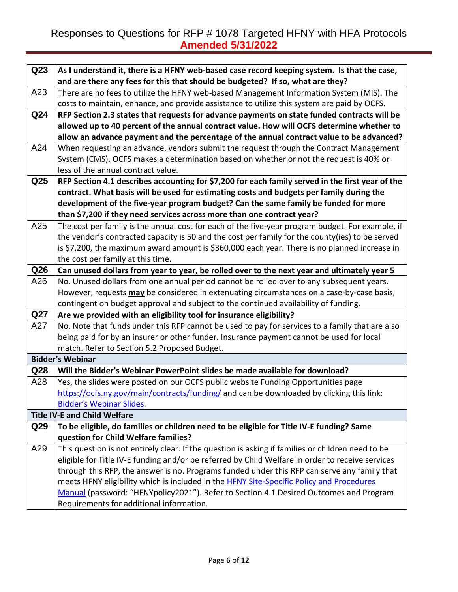| Q <sub>23</sub> | As I understand it, there is a HFNY web-based case record keeping system. Is that the case,       |
|-----------------|---------------------------------------------------------------------------------------------------|
|                 | and are there any fees for this that should be budgeted? If so, what are they?                    |
| A23             | There are no fees to utilize the HFNY web-based Management Information System (MIS). The          |
|                 | costs to maintain, enhance, and provide assistance to utilize this system are paid by OCFS.       |
| Q24             | RFP Section 2.3 states that requests for advance payments on state funded contracts will be       |
|                 | allowed up to 40 percent of the annual contract value. How will OCFS determine whether to         |
|                 | allow an advance payment and the percentage of the annual contract value to be advanced?          |
| A24             | When requesting an advance, vendors submit the request through the Contract Management            |
|                 | System (CMS). OCFS makes a determination based on whether or not the request is 40% or            |
|                 | less of the annual contract value.                                                                |
| Q <sub>25</sub> | RFP Section 4.1 describes accounting for \$7,200 for each family served in the first year of the  |
|                 | contract. What basis will be used for estimating costs and budgets per family during the          |
|                 | development of the five-year program budget? Can the same family be funded for more               |
|                 | than \$7,200 if they need services across more than one contract year?                            |
| A25             | The cost per family is the annual cost for each of the five-year program budget. For example, if  |
|                 | the vendor's contracted capacity is 50 and the cost per family for the county(ies) to be served   |
|                 | is \$7,200, the maximum award amount is \$360,000 each year. There is no planned increase in      |
|                 | the cost per family at this time.                                                                 |
| Q <sub>26</sub> | Can unused dollars from year to year, be rolled over to the next year and ultimately year 5       |
| A26             | No. Unused dollars from one annual period cannot be rolled over to any subsequent years.          |
|                 | However, requests <b>may</b> be considered in extenuating circumstances on a case-by-case basis,  |
|                 | contingent on budget approval and subject to the continued availability of funding.               |
| Q27             | Are we provided with an eligibility tool for insurance eligibility?                               |
| A27             | No. Note that funds under this RFP cannot be used to pay for services to a family that are also   |
|                 | being paid for by an insurer or other funder. Insurance payment cannot be used for local          |
|                 | match. Refer to Section 5.2 Proposed Budget.                                                      |
|                 | <b>Bidder's Webinar</b>                                                                           |
| Q <sub>28</sub> | Will the Bidder's Webinar PowerPoint slides be made available for download?                       |
| A28             | Yes, the slides were posted on our OCFS public website Funding Opportunities page                 |
|                 | https://ocfs.ny.gov/main/contracts/funding/ and can be downloaded by clicking this link:          |
|                 | <b>Bidder's Webinar Slides.</b>                                                                   |
|                 | <b>Title IV-E and Child Welfare</b>                                                               |
| Q <sub>29</sub> | To be eligible, do families or children need to be eligible for Title IV-E funding? Same          |
|                 | question for Child Welfare families?                                                              |
| A29             | This question is not entirely clear. If the question is asking if families or children need to be |
|                 | eligible for Title IV-E funding and/or be referred by Child Welfare in order to receive services  |
|                 | through this RFP, the answer is no. Programs funded under this RFP can serve any family that      |
|                 | meets HFNY eligibility which is included in the HFNY Site-Specific Policy and Procedures          |
|                 | Manual (password: "HFNYpolicy2021"). Refer to Section 4.1 Desired Outcomes and Program            |
|                 | Requirements for additional information.                                                          |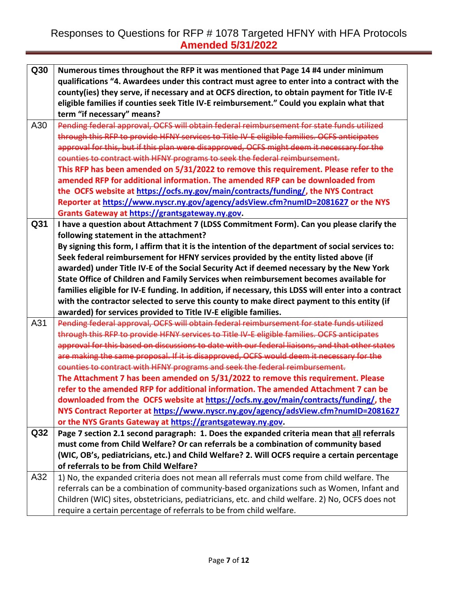| Q30             | Numerous times throughout the RFP it was mentioned that Page 14 #4 under minimum                    |
|-----------------|-----------------------------------------------------------------------------------------------------|
|                 | qualifications "4. Awardees under this contract must agree to enter into a contract with the        |
|                 | county(ies) they serve, if necessary and at OCFS direction, to obtain payment for Title IV-E        |
|                 | eligible families if counties seek Title IV-E reimbursement." Could you explain what that           |
|                 | term "if necessary" means?                                                                          |
| A30             | Pending federal approval, OCFS will obtain federal reimbursement for state funds utilized           |
|                 | through this RFP to provide HFNY services to Title IV-E eligible families. OCFS anticipates         |
|                 | approval for this, but if this plan were disapproved, OCFS might deem it necessary for the          |
|                 | counties to contract with HFNY programs to seek the federal reimbursement.                          |
|                 | This RFP has been amended on 5/31/2022 to remove this requirement. Please refer to the              |
|                 | amended RFP for additional information. The amended RFP can be downloaded from                      |
|                 | the OCFS website at https://ocfs.ny.gov/main/contracts/funding/, the NYS Contract                   |
|                 | Reporter at https://www.nyscr.ny.gov/agency/adsView.cfm?numID=2081627 or the NYS                    |
|                 | Grants Gateway at https://grantsgateway.ny.gov.                                                     |
| Q31             | I have a question about Attachment 7 (LDSS Commitment Form). Can you please clarify the             |
|                 | following statement in the attachment?                                                              |
|                 | By signing this form, I affirm that it is the intention of the department of social services to:    |
|                 | Seek federal reimbursement for HFNY services provided by the entity listed above (if                |
|                 | awarded) under Title IV-E of the Social Security Act if deemed necessary by the New York            |
|                 | State Office of Children and Family Services when reimbursement becomes available for               |
|                 | families eligible for IV-E funding. In addition, if necessary, this LDSS will enter into a contract |
|                 |                                                                                                     |
|                 | with the contractor selected to serve this county to make direct payment to this entity (if         |
|                 | awarded) for services provided to Title IV-E eligible families.                                     |
| A31             | Pending federal approval, OCFS will obtain federal reimbursement for state funds utilized           |
|                 | through this RFP to provide HFNY services to Title IV-E eligible families. OCFS anticipates         |
|                 | approval for this based on discussions to date with our federal liaisons, and that other states     |
|                 | are making the same proposal. If it is disapproved, OCFS would deem it necessary for the            |
|                 | counties to contract with HFNY programs and seek the federal reimbursement.                         |
|                 | The Attachment 7 has been amended on 5/31/2022 to remove this requirement. Please                   |
|                 | refer to the amended RFP for additional information. The amended Attachment 7 can be                |
|                 | downloaded from the OCFS website at https://ocfs.ny.gov/main/contracts/funding/, the                |
|                 | NYS Contract Reporter at https://www.nyscr.ny.gov/agency/adsView.cfm?numID=2081627                  |
|                 | or the NYS Grants Gateway at https://grantsgateway.ny.gov.                                          |
| Q <sub>32</sub> | Page 7 section 2.1 second paragraph: 1. Does the expanded criteria mean that all referrals          |
|                 | must come from Child Welfare? Or can referrals be a combination of community based                  |
|                 | (WIC, OB's, pediatricians, etc.) and Child Welfare? 2. Will OCFS require a certain percentage       |
|                 | of referrals to be from Child Welfare?                                                              |
| A32             | 1) No, the expanded criteria does not mean all referrals must come from child welfare. The          |
|                 | referrals can be a combination of community-based organizations such as Women, Infant and           |
|                 | Children (WIC) sites, obstetricians, pediatricians, etc. and child welfare. 2) No, OCFS does not    |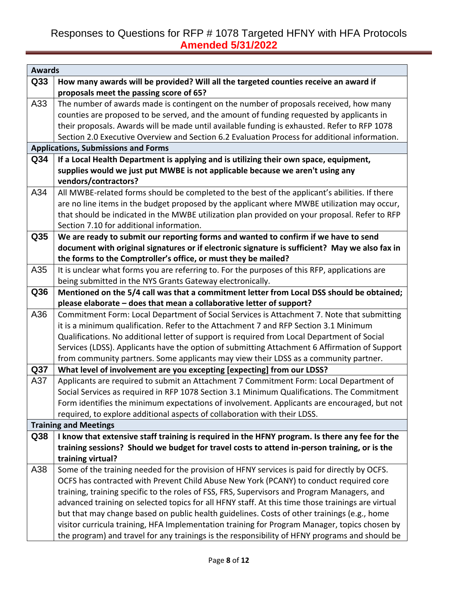| <b>Awards</b>   |                                                                                                                                                                                     |
|-----------------|-------------------------------------------------------------------------------------------------------------------------------------------------------------------------------------|
| Q33             | How many awards will be provided? Will all the targeted counties receive an award if                                                                                                |
|                 | proposals meet the passing score of 65?                                                                                                                                             |
| A33             | The number of awards made is contingent on the number of proposals received, how many                                                                                               |
|                 | counties are proposed to be served, and the amount of funding requested by applicants in                                                                                            |
|                 | their proposals. Awards will be made until available funding is exhausted. Refer to RFP 1078                                                                                        |
|                 | Section 2.0 Executive Overview and Section 6.2 Evaluation Process for additional information.                                                                                       |
|                 | <b>Applications, Submissions and Forms</b>                                                                                                                                          |
| Q34             | If a Local Health Department is applying and is utilizing their own space, equipment,                                                                                               |
|                 | supplies would we just put MWBE is not applicable because we aren't using any                                                                                                       |
|                 | vendors/contractors?                                                                                                                                                                |
| A34             | All MWBE-related forms should be completed to the best of the applicant's abilities. If there                                                                                       |
|                 | are no line items in the budget proposed by the applicant where MWBE utilization may occur,                                                                                         |
|                 | that should be indicated in the MWBE utilization plan provided on your proposal. Refer to RFP                                                                                       |
|                 | Section 7.10 for additional information.                                                                                                                                            |
| Q35             | We are ready to submit our reporting forms and wanted to confirm if we have to send                                                                                                 |
|                 | document with original signatures or if electronic signature is sufficient? May we also fax in                                                                                      |
|                 | the forms to the Comptroller's office, or must they be mailed?                                                                                                                      |
| A35             | It is unclear what forms you are referring to. For the purposes of this RFP, applications are                                                                                       |
|                 | being submitted in the NYS Grants Gateway electronically.                                                                                                                           |
| Q36             | Mentioned on the 5/4 call was that a commitment letter from Local DSS should be obtained;                                                                                           |
|                 | please elaborate - does that mean a collaborative letter of support?                                                                                                                |
| A36             | Commitment Form: Local Department of Social Services is Attachment 7. Note that submitting                                                                                          |
|                 | it is a minimum qualification. Refer to the Attachment 7 and RFP Section 3.1 Minimum<br>Qualifications. No additional letter of support is required from Local Department of Social |
|                 | Services (LDSS). Applicants have the option of submitting Attachment 6 Affirmation of Support                                                                                       |
|                 | from community partners. Some applicants may view their LDSS as a community partner.                                                                                                |
| Q <sub>37</sub> | What level of involvement are you excepting [expecting] from our LDSS?                                                                                                              |
| A37             | Applicants are required to submit an Attachment 7 Commitment Form: Local Department of                                                                                              |
|                 | Social Services as required in RFP 1078 Section 3.1 Minimum Qualifications. The Commitment                                                                                          |
|                 | Form identifies the minimum expectations of involvement. Applicants are encouraged, but not                                                                                         |
|                 | required, to explore additional aspects of collaboration with their LDSS.                                                                                                           |
|                 | <b>Training and Meetings</b>                                                                                                                                                        |
| Q38             | I know that extensive staff training is required in the HFNY program. Is there any fee for the                                                                                      |
|                 | training sessions? Should we budget for travel costs to attend in-person training, or is the                                                                                        |
|                 | training virtual?                                                                                                                                                                   |
| A38             | Some of the training needed for the provision of HFNY services is paid for directly by OCFS.                                                                                        |
|                 | OCFS has contracted with Prevent Child Abuse New York (PCANY) to conduct required core                                                                                              |
|                 | training, training specific to the roles of FSS, FRS, Supervisors and Program Managers, and                                                                                         |
|                 | advanced training on selected topics for all HFNY staff. At this time those trainings are virtual                                                                                   |
|                 | but that may change based on public health guidelines. Costs of other trainings (e.g., home                                                                                         |
|                 | visitor curricula training, HFA Implementation training for Program Manager, topics chosen by                                                                                       |
|                 | the program) and travel for any trainings is the responsibility of HFNY programs and should be                                                                                      |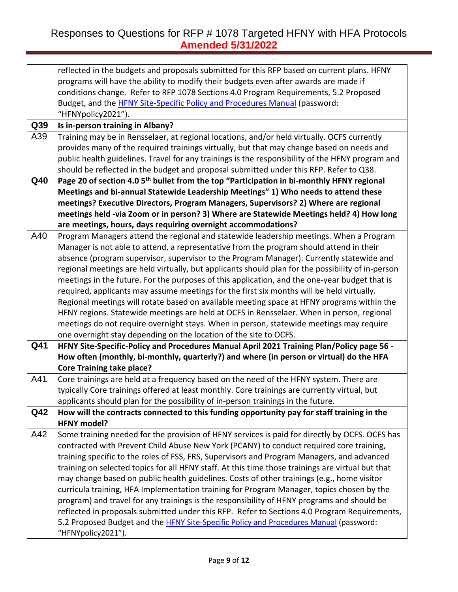|     | reflected in the budgets and proposals submitted for this RFP based on current plans. HFNY            |
|-----|-------------------------------------------------------------------------------------------------------|
|     | programs will have the ability to modify their budgets even after awards are made if                  |
|     | conditions change. Refer to RFP 1078 Sections 4.0 Program Requirements, 5.2 Proposed                  |
|     | Budget, and the <b>HFNY Site-Specific Policy and Procedures Manual</b> (password:                     |
|     | "HFNYpolicy2021").                                                                                    |
| Q39 | Is in-person training in Albany?                                                                      |
| A39 | Training may be in Rensselaer, at regional locations, and/or held virtually. OCFS currently           |
|     | provides many of the required trainings virtually, but that may change based on needs and             |
|     | public health guidelines. Travel for any trainings is the responsibility of the HFNY program and      |
|     | should be reflected in the budget and proposal submitted under this RFP. Refer to Q38.                |
| Q40 | Page 20 of section 4.0 5 <sup>th</sup> bullet from the top "Participation in bi-monthly HFNY regional |
|     | Meetings and bi-annual Statewide Leadership Meetings" 1) Who needs to attend these                    |
|     | meetings? Executive Directors, Program Managers, Supervisors? 2) Where are regional                   |
|     | meetings held -via Zoom or in person? 3) Where are Statewide Meetings held? 4) How long               |
|     | are meetings, hours, days requiring overnight accommodations?                                         |
| A40 | Program Managers attend the regional and statewide leadership meetings. When a Program                |
|     | Manager is not able to attend, a representative from the program should attend in their               |
|     | absence (program supervisor, supervisor to the Program Manager). Currently statewide and              |
|     | regional meetings are held virtually, but applicants should plan for the possibility of in-person     |
|     | meetings in the future. For the purposes of this application, and the one-year budget that is         |
|     | required, applicants may assume meetings for the first six months will be held virtually.             |
|     | Regional meetings will rotate based on available meeting space at HFNY programs within the            |
|     | HFNY regions. Statewide meetings are held at OCFS in Rensselaer. When in person, regional             |
|     | meetings do not require overnight stays. When in person, statewide meetings may require               |
|     | one overnight stay depending on the location of the site to OCFS.                                     |
| Q41 | HFNY Site-Specific-Policy and Procedures Manual April 2021 Training Plan/Policy page 56 -             |
|     | How often (monthly, bi-monthly, quarterly?) and where (in person or virtual) do the HFA               |
|     | <b>Core Training take place?</b>                                                                      |
| A41 | Core trainings are held at a frequency based on the need of the HFNY system. There are                |
|     | typically Core trainings offered at least monthly. Core trainings are currently virtual, but          |
|     | applicants should plan for the possibility of in-person trainings in the future.                      |
| Q42 | How will the contracts connected to this funding opportunity pay for staff training in the            |
|     | <b>HFNY model?</b>                                                                                    |
| A42 | Some training needed for the provision of HFNY services is paid for directly by OCFS. OCFS has        |
|     | contracted with Prevent Child Abuse New York (PCANY) to conduct required core training,               |
|     | training specific to the roles of FSS, FRS, Supervisors and Program Managers, and advanced            |
|     | training on selected topics for all HFNY staff. At this time those trainings are virtual but that     |
|     | may change based on public health guidelines. Costs of other trainings (e.g., home visitor            |
|     | curricula training, HFA Implementation training for Program Manager, topics chosen by the             |
|     | program) and travel for any trainings is the responsibility of HFNY programs and should be            |
|     | reflected in proposals submitted under this RFP. Refer to Sections 4.0 Program Requirements,          |
|     | 5.2 Proposed Budget and the HFNY Site-Specific Policy and Procedures Manual (password:                |
|     | "HFNYpolicy2021").                                                                                    |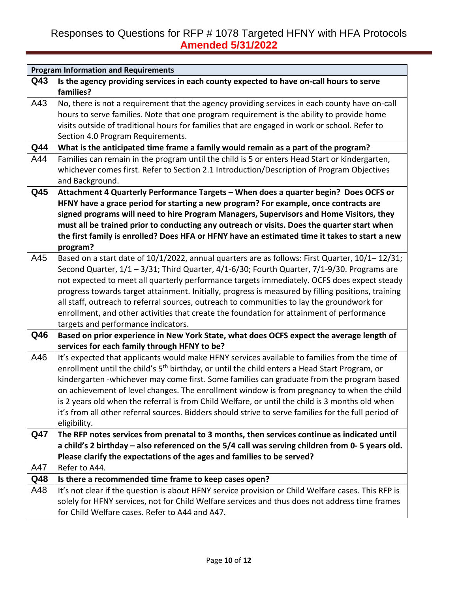|            | <b>Program Information and Requirements</b>                                                               |
|------------|-----------------------------------------------------------------------------------------------------------|
| Q43        | Is the agency providing services in each county expected to have on-call hours to serve                   |
|            | families?                                                                                                 |
| A43        | No, there is not a requirement that the agency providing services in each county have on-call             |
|            | hours to serve families. Note that one program requirement is the ability to provide home                 |
|            | visits outside of traditional hours for families that are engaged in work or school. Refer to             |
|            | Section 4.0 Program Requirements.                                                                         |
| Q44        | What is the anticipated time frame a family would remain as a part of the program?                        |
| A44        | Families can remain in the program until the child is 5 or enters Head Start or kindergarten,             |
|            | whichever comes first. Refer to Section 2.1 Introduction/Description of Program Objectives                |
|            | and Background.                                                                                           |
| Q45        | Attachment 4 Quarterly Performance Targets - When does a quarter begin? Does OCFS or                      |
|            | HFNY have a grace period for starting a new program? For example, once contracts are                      |
|            | signed programs will need to hire Program Managers, Supervisors and Home Visitors, they                   |
|            | must all be trained prior to conducting any outreach or visits. Does the quarter start when               |
|            | the first family is enrolled? Does HFA or HFNY have an estimated time it takes to start a new             |
|            | program?                                                                                                  |
| A45        | Based on a start date of 10/1/2022, annual quarters are as follows: First Quarter, 10/1-12/31;            |
|            | Second Quarter, 1/1 - 3/31; Third Quarter, 4/1-6/30; Fourth Quarter, 7/1-9/30. Programs are               |
|            | not expected to meet all quarterly performance targets immediately. OCFS does expect steady               |
|            | progress towards target attainment. Initially, progress is measured by filling positions, training        |
|            | all staff, outreach to referral sources, outreach to communities to lay the groundwork for                |
|            | enrollment, and other activities that create the foundation for attainment of performance                 |
|            | targets and performance indicators.                                                                       |
| Q46        | Based on prior experience in New York State, what does OCFS expect the average length of                  |
|            | services for each family through HFNY to be?                                                              |
| A46        | It's expected that applicants would make HFNY services available to families from the time of             |
|            | enrollment until the child's 5 <sup>th</sup> birthday, or until the child enters a Head Start Program, or |
|            | kindergarten -whichever may come first. Some families can graduate from the program based                 |
|            | on achievement of level changes. The enrollment window is from pregnancy to when the child                |
|            | is 2 years old when the referral is from Child Welfare, or until the child is 3 months old when           |
|            | it's from all other referral sources. Bidders should strive to serve families for the full period of      |
|            | eligibility.                                                                                              |
| <b>Q47</b> | The RFP notes services from prenatal to 3 months, then services continue as indicated until               |
|            | a child's 2 birthday – also referenced on the 5/4 call was serving children from 0-5 years old.           |
|            | Please clarify the expectations of the ages and families to be served?                                    |
| A47        | Refer to A44.                                                                                             |
| Q48        | Is there a recommended time frame to keep cases open?                                                     |
| A48        | It's not clear if the question is about HFNY service provision or Child Welfare cases. This RFP is        |
|            | solely for HFNY services, not for Child Welfare services and thus does not address time frames            |
|            | for Child Welfare cases. Refer to A44 and A47.                                                            |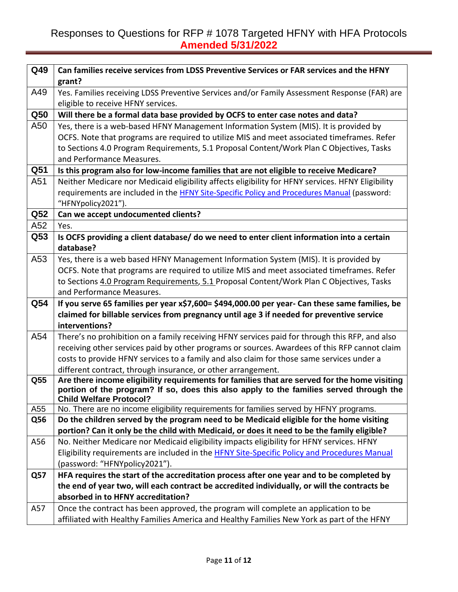| Q49             | Can families receive services from LDSS Preventive Services or FAR services and the HFNY                                           |
|-----------------|------------------------------------------------------------------------------------------------------------------------------------|
|                 | grant?                                                                                                                             |
| A49             | Yes. Families receiving LDSS Preventive Services and/or Family Assessment Response (FAR) are<br>eligible to receive HFNY services. |
| Q50             | Will there be a formal data base provided by OCFS to enter case notes and data?                                                    |
| A50             | Yes, there is a web-based HFNY Management Information System (MIS). It is provided by                                              |
|                 | OCFS. Note that programs are required to utilize MIS and meet associated timeframes. Refer                                         |
|                 | to Sections 4.0 Program Requirements, 5.1 Proposal Content/Work Plan C Objectives, Tasks                                           |
|                 | and Performance Measures.                                                                                                          |
| Q <sub>51</sub> | Is this program also for low-income families that are not eligible to receive Medicare?                                            |
| A51             | Neither Medicare nor Medicaid eligibility affects eligibility for HFNY services. HFNY Eligibility                                  |
|                 | requirements are included in the HFNY Site-Specific Policy and Procedures Manual (password:                                        |
|                 | "HFNYpolicy2021").                                                                                                                 |
| Q <sub>52</sub> | Can we accept undocumented clients?                                                                                                |
| A52             | Yes.                                                                                                                               |
| Q53             | Is OCFS providing a client database/ do we need to enter client information into a certain                                         |
|                 | database?                                                                                                                          |
| A53             | Yes, there is a web based HFNY Management Information System (MIS). It is provided by                                              |
|                 | OCFS. Note that programs are required to utilize MIS and meet associated timeframes. Refer                                         |
|                 | to Sections 4.0 Program Requirements, 5.1 Proposal Content/Work Plan C Objectives, Tasks                                           |
|                 | and Performance Measures.                                                                                                          |
| Q54             | If you serve 65 families per year x\$7,600= \$494,000.00 per year- Can these same families, be                                     |
|                 | claimed for billable services from pregnancy until age 3 if needed for preventive service                                          |
|                 | interventions?                                                                                                                     |
| A54             | There's no prohibition on a family receiving HFNY services paid for through this RFP, and also                                     |
|                 | receiving other services paid by other programs or sources. Awardees of this RFP cannot claim                                      |
|                 | costs to provide HFNY services to a family and also claim for those same services under a                                          |
|                 | different contract, through insurance, or other arrangement.                                                                       |
| Q55             | Are there income eligibility requirements for families that are served for the home visiting                                       |
|                 | portion of the program? If so, does this also apply to the families served through the<br><b>Child Welfare Protocol?</b>           |
| A55             | No. There are no income eligibility requirements for families served by HFNY programs.                                             |
| <b>Q56</b>      | Do the children served by the program need to be Medicaid eligible for the home visiting                                           |
|                 | portion? Can it only be the child with Medicaid, or does it need to be the family eligible?                                        |
| A56             | No. Neither Medicare nor Medicaid eligibility impacts eligibility for HFNY services. HFNY                                          |
|                 | Eligibility requirements are included in the HFNY Site-Specific Policy and Procedures Manual                                       |
|                 | (password: "HFNYpolicy2021").                                                                                                      |
| Q57             | HFA requires the start of the accreditation process after one year and to be completed by                                          |
|                 | the end of year two, will each contract be accredited individually, or will the contracts be                                       |
|                 | absorbed in to HFNY accreditation?                                                                                                 |
| A57             | Once the contract has been approved, the program will complete an application to be                                                |
|                 | affiliated with Healthy Families America and Healthy Families New York as part of the HFNY                                         |